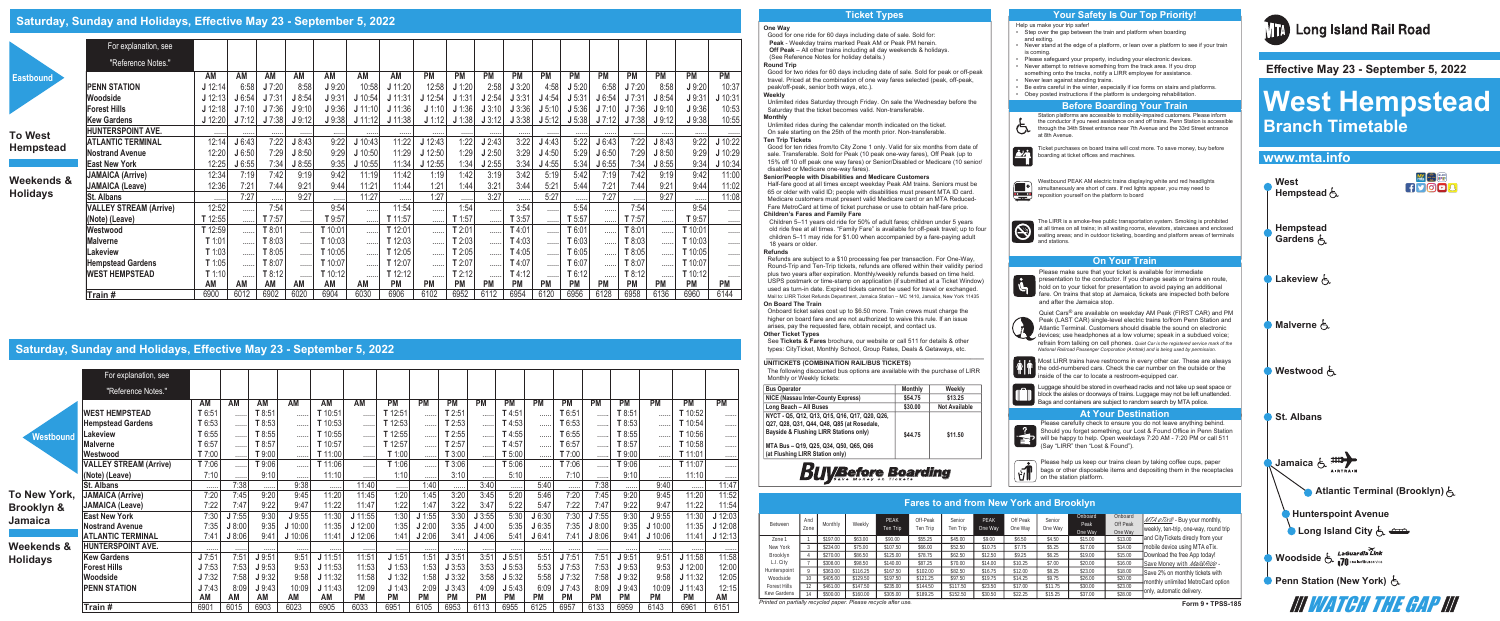#### **One Way**

Good for one ride for 60 days including date of sale. Sold for: **Peak** - Weekday trains marked Peak AM or Peak PM herein.  **Off Peak** – All other trains including all day weekends & holidays. (See Reference Notes for holiday details.) **Round Trip**

Good for two rides for 60 days including date of sale. Sold for peak or off-peak travel. Priced at the combination of one way fares selected (peak, off-peak, peak/off-peak, senior both ways, etc.). **Weekly**

Unlimited rides Saturday through Friday. On sale the Wednesday before the Saturday that the ticket becomes valid. Non-transferable. **Monthly**

Unlimited rides during the calendar month indicated on the ticket. On sale starting on the 25th of the month prior. Non-transferable. **Ten Trip Tickets**

Good for ten rides from/to City Zone 1 only. Valid for six months from date of sale. Transferable. Sold for Peak (10 peak one-way fares), Off Peak (up to 15% off 10 off peak one way fares) or Senior/Disabled or Medicare (10 senior/ disabled or Medicare one-way fares). **Senior/People with Disabilities and Medicare Customers** Half-fare good at all times except weekday Peak AM trains. Seniors must be

65 or older with valid ID; people with disabilities must present MTA ID card. Medicare customers must present valid Medicare card or an MTA Reduced-Fare MetroCard at time of ticket purchase or use to obtain half-fare price. **Children's Fares and Family Fare**

Children 5–11 years old ride for 50% of adult fares; children under 5 years old ride free at all times. "Family Fare" is available for off-peak travel; up to four children 5–11 may ride for \$1.00 when accompanied by a fare-paying adult 18 years or older.

#### **Refunds**

Refunds are subject to a \$10 processing fee per transaction. For One-Way, Round-Trip and Ten-Trip tickets, refunds are offered within their validity period plus two years after expiration. Monthly/weekly refunds based on time held. USPS postmark or time-stamp on application (if submitted at a Ticket Window) used as turn-in date. Expired tickets cannot be used for travel or exchanged. Mail to: LIRR Ticket Refunds Department, Jamaica Station – MC 1410, Jamaica, New York 11435 **On Board The Train**

> Most LIRR trains have restrooms in every other car. These are always the odd-numbered cars. Check the car number on the outside or the inside of the car to locate a restroom-equipped car.

> Luggage should be stored in overhead racks and not take up seat space or block the aisles or doorways of trains. Luggage may not be left unattended. Bags and containers are subject to random search by MTA police.

Help us make your trip safer! Step over the gap between the train and platform when boarding

Onboard ticket sales cost up to \$6.50 more. Train crews must charge the higher on board fare and are not authorized to waive this rule. If an issue arises, pay the requested fare, obtain receipt, and contact us. **Other Ticket Types** 

See **Tickets & Fares** brochure, our website or call 511 for details & other types: CityTicket, Monthly School, Group Rates, Deals & Getaways, etc.

# **\_\_\_\_\_\_\_\_\_\_\_\_\_\_\_\_\_\_\_\_\_\_\_\_\_\_\_\_\_\_\_\_\_\_\_\_\_\_\_\_\_\_\_\_\_\_\_\_\_\_\_\_\_\_\_\_\_\_\_\_\_\_\_ UNITICKETS (COMBINATION RAIL/BUS TICKETS)**

The following discounted bus options are available with the purchase of LIRR

The LIRR is a smoke-free public transportation system. Smoking is prohibited at all times on all trains; in all waiting rooms, elevators, staircases and enclosed waiting areas; and in outdoor ticketing, boarding and platform areas of terminals The LIRR is a<br>at all times on<br>waiting areas;<br>and stations.

Monthly or Weekly tickets:

### **Bus Operator**

**NICE (Nassau Inter-County Express)** 

**Long Beach – All Buses NYCT - Q5, Q12, Q13, Q15, Q16, Q17, Q20, Q26, Q27, Q28, Q31, Q44, Q48, Q85 (at Ro** 

**Bayside & Flushing LIRR Stations on** 

Please help us keep our trains clean by taking coffee cups, paper бT bags or other disposable items and depositing them in the receptacles on the station platform.

**Long Island Rail Road** 

**MTA Bus – Q19, Q25, Q34, Q50, Q65, Q66 (at Flushing LIRR Station only)** 

|                                         | <b>Monthly</b> | Weekly               |
|-----------------------------------------|----------------|----------------------|
|                                         | \$54.75        | \$13.25              |
|                                         | \$30.00        | <b>Not Available</b> |
| , Q20, Q26,<br>sedale,<br>nly)<br>. Q66 | \$44.75        | \$11.50              |

# **Buy Before Boarding**

Please make sure that your ticket is available for immediate presentation to the conductor. If you change seats or trains en route, hold on to your ticket for presentation to avoid paying an additional fare. On trains that stop at Jamaica, tickets are inspected both before and after the Jamaica stop.

Quiet Cars® are available on weekday AM Peak (FIRST CAR) and PM Peak (LAST CAR) single-level electric trains to/from Penn Station and Atlantic Terminal. Customers should disable the sound on electronic devices; use headphones at a low volume; speak in a subdued voice; refrain from talking on cell phones. *Quiet Car is the registered service mark of the National Railroad Passenger Corporation (Amtrak) and is being used by permission.*

- and exiting. Never stand at the edge of a platform, or lean over a platform to see if your train is coming.
- Please safeguard your property, including your electronic devices.
- Never attempt to retrieve something from the track area. If you drop something onto the tracks, notify a LIRR employee for assistance.
- Never lean against standing trains.
- Be extra careful in the winter, especially if ice forms on stairs and platforms.
- Obey posted instructions if the platform is undergoing rehabilitation.

Station platforms are accessible to mobility-impaired customers. Please inform the conductor if you need assistance on and off trains. Penn Station is accessible through the 34th Street entrance near 7th Avenue and the 33rd Street entrance at 8th Avenue.

Ticket purchases on board trains will cost more. To save money, buy before boarding at ticket offices and machines.

Westbound PEAK AM electric trains displaying white and red headlights simultaneously are short of cars. If red lights appear, you may need to reposition yourself on the platform to board

Please carefully check to ensure you do not leave anything behind. Should you forget something, our Lost & Found Office in Penn Station will be happy to help. Open weekdays 7:20 AM - 7:20 PM or call 511 ep (Say "LIRR" then "Lost & Found").

# **www.mta.info 出会議**<br>イソのロ<mark>8</mark> **West Hempstead** 占 **Hempstead Gardens** 占 **Lakeview A Malverne** 占 **Westwood**  $\xi$ **St. Albans Jamaica Atlantic Terminal (Brooklyn)**  $\epsilon$ **Hunterspoint Avenue In Long Island City**  $\overline{f}_k$ **Woodside** & LaGuardia Link

**Penn Station (New York)** &

**III WATCH THE GAP III** 



**Weekends Holidays**

## **Saturday, Sunday and Holidays, Effective May 23 - September 5, 2022**

|                                                                | <b>Fares to and from New York and Brooklyn</b> |          |          |                  |                      |                    |                 |                     |                   |                            |                                |                                                                                          |
|----------------------------------------------------------------|------------------------------------------------|----------|----------|------------------|----------------------|--------------------|-----------------|---------------------|-------------------|----------------------------|--------------------------------|------------------------------------------------------------------------------------------|
| Between                                                        | And<br>Zone                                    | Monthly  | Weekly   | PFAK<br>Ten Trip | Off-Peak<br>Ten Trip | Senior<br>Ten Trip | PFAK<br>One Way | Off Peak<br>One Wav | Senior<br>One Wav | Onboard<br>Peak<br>One Way | Onboard<br>Off Peak<br>One Way | $MTA$ $eTix^{\circledcirc}$ - Buy your monthly,<br>weekly, ten-trip, one-way, round trip |
| Zone 1                                                         |                                                | 5197.00  | \$63.00  | \$90.00          | \$55.25              | \$45.00            | \$9.00          | \$6.50              | \$4.50            | \$15.00                    | \$13.00                        | and CityTickets direcly from your                                                        |
| New York                                                       |                                                | \$234.00 | \$75.00  | \$107.50         | \$66.00              | \$52.50            | \$10.75         | \$7.75              | \$5.25            | \$17.00                    | \$14.00                        | mobile device using MTA eTix.                                                            |
| Brooklyn                                                       |                                                | \$270.00 | \$86.50  | \$125.00         | \$78.75              | \$62.50            | \$12.50         | \$9.25              | \$6.25            | \$19.00                    | \$15.00                        | Download the free App today!                                                             |
| L.I. City                                                      |                                                | \$308.00 | \$98.50  | \$140.00         | \$87.25              | \$70.00            | \$14.00         | \$10.25             | \$7.00            | \$20.00                    | \$16.00                        | Save Money with Mail&Ride -                                                              |
| Hunterspoint                                                   |                                                | \$363.00 | \$116.25 | \$167.50         | \$102.00             | \$82.50            | \$16.75         | \$12.00             | \$8.25            | \$23.00                    | \$18.00                        | Save 2% on monthly tickets with                                                          |
| Woodside                                                       |                                                | \$405.00 | \$129.50 | \$197.50         | \$121.25             | \$97.50            | \$19.75         | \$14.25             | \$9.75            | \$26.00                    | \$20.00                        | monthly unlimited MetroCard option                                                       |
| Forest Hills                                                   |                                                | \$461.00 | \$147.50 | \$235.00         | \$144.50             | \$117.50           | \$23.50         | \$17.00             | \$11.75           | \$30.00                    | \$23.00                        |                                                                                          |
| Kew Gardens                                                    |                                                | \$500.00 | \$160.00 | \$305.00         | \$189.25             | \$152.50           | \$30.50         | \$22.25             | \$15.25           | \$37.00                    | \$28.00                        | only, automatic delivery.                                                                |
| Printed on partially recycled paper. Please recycle after use. |                                                |          |          |                  |                      |                    |                 |                     |                   |                            |                                | Form 9 . TPSS-18                                                                         |

# **Saturday, Sunday and Holidays, Effective May 23 - September 5, 2022**

|                       | For explanation, see          |           |        |        |           |           |           |           |           |           |           |           |           |           |           |           |           |           |           |
|-----------------------|-------------------------------|-----------|--------|--------|-----------|-----------|-----------|-----------|-----------|-----------|-----------|-----------|-----------|-----------|-----------|-----------|-----------|-----------|-----------|
|                       | "Reference Notes."            |           |        |        |           |           |           |           |           |           |           |           |           |           |           |           |           |           |           |
|                       |                               | <b>AM</b> | AM     | AM     | AM        | AM        | AM        | <b>PM</b> | <b>PM</b> | <b>PM</b> | <b>PM</b> | <b>PM</b> | <b>PM</b> | <b>PM</b> | <b>PM</b> | <b>PM</b> | <b>PM</b> | <b>PM</b> | <b>PM</b> |
|                       | <b>WEST HEMPSTEAD</b>         | T 6:51    |        | T 8:51 |           | T 10:51   |           | 12:51     | .         | T2:51     |           | T4:51     | $\cdots$  | T 6:51    |           | T 8:51    | .         | T 10:52   |           |
|                       | <b>Hempstead Gardens</b>      | T 6:53    |        | T 8:53 | 1.1.1.1.1 | T 10:53   |           | 12:53     | .         | T2:53     |           | 4:53      |           | T 6:53    | .         | T 8:53    |           | T 10:54   |           |
| Westbound             | Lakeview                      | T 6:55    |        | 58:55  | 1.1.1.1.1 | T 10:55   |           | 12:55     | .         | T2:55     |           | 1:55 آ    |           | T 6:55    | .         | T 8:55    |           | T 10:56   |           |
|                       | Malverne                      | T 6:57    |        | T 8:57 | 1.1.1.1.1 | T 10:57   |           | 12:57     |           | T2:57     |           | T 4:57    | .         | T 6:57    |           | T 8:57    |           | T 10:58   |           |
|                       | Westwood                      | T 7:00    |        | T 9:00 |           | T 11:00   |           | T1:00     |           | T3:00     |           | T 5:00    |           | T7:00     |           | T 9:00    |           | T 11:01   |           |
|                       | <b>VALLEY STREAM (Arrive)</b> | T 7:06    | .      | T 9:06 | 1.1.1.1.1 | T 11:06   |           | T1:06     | .         | T3:06     | .         | T 5:06    | 1.1.1.1   | T7:06     | .         | T 9:06    | .         | T 11:07   |           |
|                       | (Note) (Leave)                | 7:10      |        | 9:10   | 1.1.1.1.1 | 11:10     |           | 1:10      |           | 3:10      |           | 5:10      |           | 7:10      | .         | 9:10      |           | 11:10     |           |
|                       | <b>St. Albans</b>             |           | 7:38   |        | 9:38      |           | 11:40     |           | 1:40      |           | 3:40      |           | 5:40      |           | 7:38      |           | 9:40      |           | 11:47     |
| To New York,          | <b>JAMAICA (Arrive)</b>       | 7:20      | 7:45   | 9:20   | 9:45      | 11:20     | 11:45     | 1:20      | 1:45      | 3:20      | 3:45      | 5:20      | 5:46      | 7:20      | 7:45      | 9:20      | 9:45      | 11:20     | 11:52     |
| <b>Brooklyn &amp;</b> | JAMAICA (Leave)               | 7:22      | 7:47   | 9:22   | 9:47      | 11:22     | 11:47     | 1:22      | 1:47      | 3:22      | 3:47      | 5:22      | 5:47      | 7:22      | 7:47      | 9:22      | 9:47      | 11:22     | 11:54     |
| <b>Jamaica</b>        | <b>East New York</b>          | 7:30      | J7:55  | 9:30   | $J$ 9:55  | 11:30     | J 11:55   | 1:30      | 1:55      | 3:30      | J3:55     | 5:30      | J6:30     | 7:30      | J7:55     | 9:30      | J9:55     | 11:30     | J 12:03   |
|                       | <b>Nostrand Avenue</b>        | 7:35      | J 8:00 | 9:35   | 110:00    | 11:35     | J 12:00   | 1:35      | J2:00     | 3:35      | J4:00     | 5:35      | J6:35     | 7:35      | J 8:00    | 9:35      | J 10:00   | 11:35     | J 12:08   |
|                       | ATLANTIC TERMINAL             | 7:41      | J 8:06 | 9:41   | J 10:06   | 11:41     | J 12:06   | 1:41      | J 2:06    | 3:41      | J4:06     | 5:4'      | J 6:41    | 7:41      | J 8:06    | 9:41      | J 10:06   | 11:41     | J 12:13   |
| Weekends &            | <b>HUNTERSPOINT AVE.</b>      |           |        |        |           |           |           |           |           |           |           |           |           |           |           |           |           |           |           |
| <b>Holidays</b>       | <b>Kew Gardens</b>            | J7:51     | 7:51   | J9:51  | 9:5'      | $J$ 11:51 | 11:51     | J 1:51    | 1:51      | J3:51     | 3:51      | J 5:51    | 5:51      | l 7:51    | 7:51      | J9:51     | 9:51      | $J$ 11:58 | 11:58     |
|                       | <b>Forest Hills</b>           | J7:53     | 7:53   | J9:53  | 9:53      | $J$ 11:53 | 11:53     | J 1:53    | 1:53      | J3:53     | 3:53      | J 5:53    | 5:53      | J 7:53    | 7:53      | J9:53     | 9:53      | J 12:00   | 12:00     |
|                       | Woodside                      | J7:32     | 7:58   | J9:32  | 9:58      | J 11:32   | 11:58     | J 1:32    | 1:58      | J3:32     | 3:58      | J 5:32    | 5:58      | J7:32     | 7:58      | J9:32     | 9:58      | J 11:32   | 12:05     |
|                       | <b>PENN STATION</b>           | J7:43     | 8:09   | J9:43  | 10:09     | J 11:43   | 12:09     | J 1:43    | 2:09      | J3:43     | 4:09      | J 5:43    | 6:09      | J7:43     | 8:09      | J9:43     | 10:09     | $J$ 11:43 | 12:15     |
|                       |                               | <b>AM</b> | AM     | AM     | AM        | <b>AM</b> | <b>PM</b> | <b>PM</b> | <b>PM</b> | <b>PM</b> | <b>PM</b> | <b>PM</b> | <b>PM</b> | <b>PM</b> | <b>PM</b> | <b>PM</b> | <b>PM</b> | <b>PM</b> | AM        |
|                       | Train#                        | 6901      | 6015   | 6903   | 6023      | 6905      | 6033      | 6951      | 6105      | 6953      | 6113      | 6955      | 6125      | 6957      | 6133      | 6959      | 6143      | 6961      | 6151      |

|              | For explanation, see          |           |           |           |        |                |           |           |           |           |           |           |           |           |           |           |           |           |           |
|--------------|-------------------------------|-----------|-----------|-----------|--------|----------------|-----------|-----------|-----------|-----------|-----------|-----------|-----------|-----------|-----------|-----------|-----------|-----------|-----------|
|              | "Reference Notes."            |           |           |           |        |                |           |           |           |           |           |           |           |           |           |           |           |           |           |
|              |                               | AM        | <b>AM</b> | AM        | AM     | AM             | AM        | AM        | <b>PM</b> | <b>PM</b> | <b>PM</b> | <b>PM</b> | <b>PM</b> | <b>PM</b> | PM        | <b>PM</b> | <b>PM</b> | <b>PM</b> | <b>PM</b> |
|              | <b>PENN STATION</b>           | J 12:14   | 6:58      | J7:20     | 8:58   | J9:20          | 10:58     | J 11:20   | 12:58     | J 1:20    | 2:58      | J3:20     | 4:58      | J 5:20    | 6:58      | J7:20     | 8:58      | J9:20     | 10:37     |
|              | Woodside                      | $J$ 12:13 | J6:54     | J7:31     | J 8:54 | J9:31          | J 10:54   | $J$ 11:31 | J 12:54   | $J$ 1:31  | J2:54     | J3:31     | $J$ 4:54  | J 5:31    | J 6:54    | J7:31     | J 8:54    | J9:31     | J 10:31   |
|              | <b>Forest Hills</b>           | J 12:18   | J7:10     | J7:36     | J9:10  | J9:36          | J 11:10   | J 11:36   | J 1:10    | J 1:36    | J3:10     | J3:36     | J 5:10    | J 5:36    | J7:10     | J7:36     | J9:10     | J9:36     | 10:53     |
|              | <b>Kew Gardens</b>            | J 12:20   | J7:12     | J7:38     | J 9:12 | J 9:38         | $J$ 11:12 | $J$ 11:38 | J 1:12    | J 1:38    | J 3:12    | J3:38     | J 5:12    | J 5:38    | J7:12     | J7:38     | J9:12     | J9:38     | 10:55     |
|              | <b>HUNTERSPOINT AVE.</b>      |           |           |           |        |                |           |           |           |           |           |           |           |           |           |           |           |           |           |
| d            | <b>ATLANTIC TERMINAL</b>      | 12:14     | J6:43     | 7:22      | J 8:43 | 9:22           | J 10:43   | 11:22     | 12:43     | 1:22      | J2:43     | 3:22      | J4:43     | 5:22      | J6:43     | 7:22      | J 8:43    | 9:22      | J 10:22   |
|              | <b>Nostrand Avenue</b>        | 12:20     | J 6:50    | 7:29      | J 8:50 | 9:29           | J 10:50   | 11:29     | J 12:50   | 1:29      | J2:50     | 3:29      | $J$ 4:50  | 5:29      | J 6:50    | 7:29      | J 8:50    | 9:29      | J 10:29   |
|              | <b>East New York</b>          | 12:25     | J 6:55    | 7:34      | J 8:55 | 9:35           | J 10:55   | 11:34     | J 12:55   | 1:34      | J2:55     | 3:34      | $J$ 4:55  | 5:34      | J6:55     | 7:34      | J 8:55    | 9:34      | J 10:34   |
| $\mathbf{g}$ | <b>JAMAICA (Arrive)</b>       | 12:34     | 7:19      | 7:42      | 9:19   | 9:42           | 11:19     | 11:42     | 1:19      | 1:42      | 3:19      | 3:42      | 5:19      | 5:42      | 7:19      | 7:42      | 9:19      | 9:42      | 11:00     |
|              | <b>JAMAICA (Leave)</b>        | 12:36     | 7:21      | 7:44      | 9:21   | 9:44           | 11:21     | 11:44     | 1:21      | 1:44      | 3:21      | 3:44      | 5:21      | 5:44      | 7:21      | 7:44      | 9:21      | 9:44      | 11:02     |
|              | <b>St. Albans</b>             |           | 7:27      |           | 9:27   |                | 11:27     |           | 1:27      |           | 3:27      |           | 5:27      |           | 7:27      |           | 9:27      |           | 11:08     |
|              | <b>VALLEY STREAM (Arrive)</b> | 12:52     |           | 7:54      |        | 9:54           |           | 11:54     |           | 1:54      |           | 3:54      |           | 5:54      |           | 7:54      |           | 9:54      |           |
|              | (Note) (Leave)                | T 12:55   |           | T 7:57    |        | T 9:57         |           | T 11:57   |           | T 1:57    |           | T3:57     |           | T 5:57    |           | T 7:57    |           | T 9:57    |           |
|              | Westwood                      | T 12:59   |           | T 8:01    |        | T 10:01        |           | T 12:01   |           | T2:01     |           | T4:01     |           | T 6:01    |           | T 8:01    | .         | T 10:01   |           |
|              | Malverne                      | T 1:01    |           | T 8:03    |        | T 10:03        |           | T 12:03   |           | T2:03     |           | T4:03     |           | T 6:03    |           | T8:03     |           | T 10:03   |           |
|              | Lakeview                      | T 1:03    |           | 58:05     |        | $\Gamma$ 10:05 |           | T 12:05   |           | T2:05     |           | T4:05     |           | T6:05     |           | T8:05     |           | T 10:05   |           |
|              | <b>Hempstead Gardens</b>      | T 1:05    |           | T 8:07    |        | T 10:07        |           | T 12:07   |           | T 2:07    |           | T 4:07    |           | T6:07     |           | T 8:07    |           | T 10:07   |           |
|              | <b>WEST HEMPSTEAD</b>         | T 1:10    |           | T 8:12    |        | T 10:12        |           | T 12:12   |           | T2:12     |           | T 4:12    |           | T 6:12    |           | T 8:12    |           | T 10:12   |           |
|              |                               | AM        | <b>AM</b> | <b>AM</b> | AM     | <b>AM</b>      | AM        | <b>PM</b> | <b>PM</b> | <b>PM</b> | <b>PM</b> | <b>PM</b> | <b>PM</b> | <b>PM</b> | <b>PM</b> | <b>PM</b> | <b>PM</b> | <b>PM</b> | <b>PM</b> |
|              | Train#                        | 6900      | 6012      | 6902      | 6020   | 6904           | 6030      | 6906      | 6102      | 6952      | 6112      | 6954      | 6120      | 6956      | 6128      | 6958      | 6136      | 6960      | 6144      |

 **Effective May 23 - September 5, 2022**

# **West Hempstead Branch Timetable**

| <b>To West</b>  |
|-----------------|
| <b>Hempstea</b> |

| <b>Eastbound</b> |
|------------------|
|                  |

**Form 9 • TPSS-185**

#### **Ticket Types Your Safety Is Our Top Priority!**

#### **At Your Destination**



#### **Before Boarding Your Train**

#### **On Your Train**